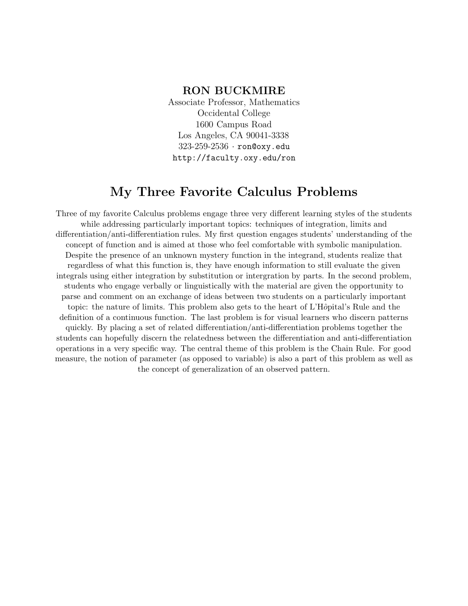### **RON BUCKMIRE**

Associate Professor, Mathematics Occidental College 1600 Campus Road Los Angeles, CA 90041-3338 323-259-2536 · ron@oxy.edu http://faculty.oxy.edu/ron

# **My Three Favorite Calculus Problems**

Three of my favorite Calculus problems engage three very different learning styles of the students while addressing particularly important topics: techniques of integration, limits and differentiation/anti-differentiation rules. My first question engages students' understanding of the concept of function and is aimed at those who feel comfortable with symbolic manipulation. Despite the presence of an unknown mystery function in the integrand, students realize that regardless of what this function is, they have enough information to still evaluate the given integrals using either integration by substitution or intergration by parts. In the second problem, students who engage verbally or linguistically with the material are given the opportunity to parse and comment on an exchange of ideas between two students on a particularly important topic: the nature of limits. This problem also gets to the heart of L'Hôpital's Rule and the definition of a continuous function. The last problem is for visual learners who discern patterns quickly. By placing a set of related differentiation/anti-differentiation problems together the students can hopefully discern the relatedness between the differentiation and anti-differentiation operations in a very specific way. The central theme of this problem is the Chain Rule. For good measure, the notion of parameter (as opposed to variable) is also a part of this problem as well as the concept of generalization of an observed pattern.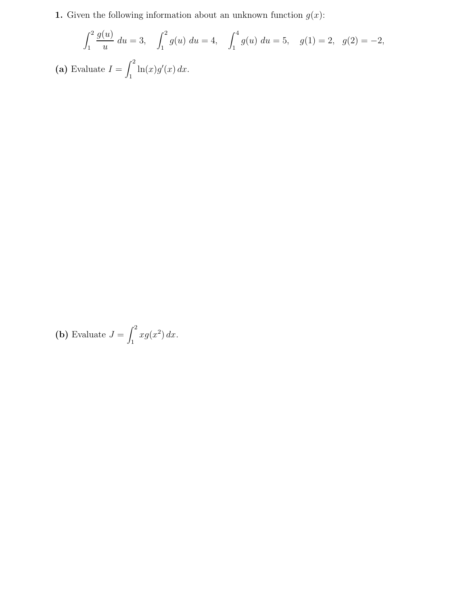**1.** Given the following information about an unknown function  $g(x)$ :

$$
\int_{1}^{2} \frac{g(u)}{u} du = 3, \quad \int_{1}^{2} g(u) du = 4, \quad \int_{1}^{4} g(u) du = 5, \quad g(1) = 2, \quad g(2) = -2,
$$
  
(a) Evaluate  $I = \int_{1}^{2} \ln(x)g'(x) dx$ .

**(b)** Evaluate 
$$
J = \int_{1}^{2} x g(x^2) dx
$$
.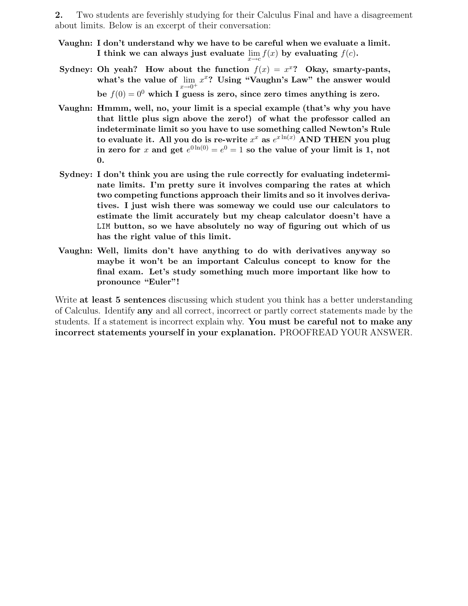**2.** Two students are feverishly studying for their Calculus Final and have a disagreement about limits. Below is an excerpt of their conversation:

- **Vaughn: I don't understand why we have to be careful when we evaluate a limit. I** think we can always just evaluate  $\lim_{x \to c} f(x)$  by evaluating  $f(c)$ **.**
- **Sydney: Oh yeah?** How about the function  $f(x) = x^x$ ? Okay, smarty-pants, what's the value of  $\lim_{x\to 0^+} x^x$ ? Using "Vaughn's Law" the answer would be  $f(0) = 0^0$  which I guess is zero, since zero times anything is zero.
- **Vaughn: Hmmm, well, no, your limit is a special example (that's why you have that little plus sign above the zero!) of what the professor called an indeterminate limit so you have to use something called Newton's Rule** to evaluate it. All you do is re-write  $x^x$  as  $e^{x \ln(x)}$  AND THEN you plug in zero for x and get  $e^{0 \ln(0)} = e^{0} = 1$  so the value of your limit is 1, not **0.**
- **Sydney: I don't think you are using the rule correctly for evaluating indeterminate limits. I'm pretty sure it involves comparing the rates at which two competing functions approach their limits and so it involves derivatives. I just wish there was someway we could use our calculators to estimate the limit accurately but my cheap calculator doesn't have a** LIM **button, so we have absolutely no way of figuring out which of us has the right value of this limit.**
- **Vaughn: Well, limits don't have anything to do with derivatives anyway so maybe it won't be an important Calculus concept to know for the final exam. Let's study something much more important like how to pronounce "Euler"!**

Write **at least 5 sentences** discussing which student you think has a better understanding of Calculus. Identify **any** and all correct, incorrect or partly correct statements made by the students. If a statement is incorrect explain why. **You must be careful not to make any incorrect statements yourself in your explanation.** PROOFREAD YOUR ANSWER.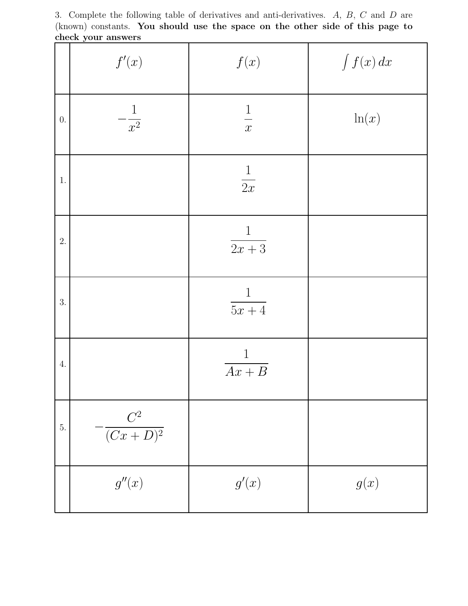3. Complete the following table of derivatives and anti-derivatives. *A*, *B*, *C* and *D* are (known) constants. **You should use the space on the other side of this page to check your answers**

|         | f'(x)                   | f(x)                              | $\int f(x) \, dx$ |
|---------|-------------------------|-----------------------------------|-------------------|
| $0.$    | $-\frac{1}{x^2}$        | $\frac{1}{x}$                     | ln(x)             |
| $1. \,$ |                         | $\frac{1}{2x}$                    |                   |
| 2.      |                         | $\mathbf{1}$<br>$\frac{1}{2x+3}$  |                   |
| 3.      |                         | $\frac{1}{5x+4}$                  |                   |
| $4. \,$ |                         | $\mathbf{1}$<br>$\overline{Ax+B}$ |                   |
| 5.      | $-\frac{C^2}{(Cx+D)^2}$ |                                   |                   |
|         | g''(x)                  | g'(x)                             | g(x)              |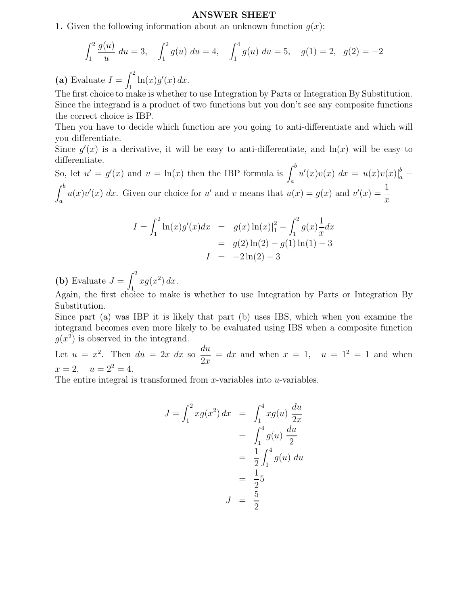#### **ANSWER SHEET**

**1.** Given the following information about an unknown function  $q(x)$ :

$$
\int_{1}^{2} \frac{g(u)}{u} du = 3, \quad \int_{1}^{2} g(u) du = 4, \quad \int_{1}^{4} g(u) du = 5, \quad g(1) = 2, \quad g(2) = -2
$$

 $(a)$  Evaluate  $I$  $\int_{1}^{1} \ln(x) g'(x) dx.$ 

The first choice to make is whether to use Integration by Parts or Integration By Substitution. Since the integrand is a product of two functions but you don't see any composite functions the correct choice is IBP.

Then you have to decide which function are you going to anti-differentiate and which will you differentiate.

Since  $g'(x)$  is a derivative, it will be easy to anti-differentiate, and  $ln(x)$  will be easy to differentiate.

So, let  $u' = g'(x)$  and  $v = \ln(x)$  then the IBP formula is  $\int_a^b u'(x)v(x) dx = u(x)v(x)|_a^b$  $\int$  $\int_a^b u(x)v'(x) dx$ . Given our choice for *u*' and *v* means that  $u(x) = g(x)$  and  $v'(x) = \frac{1}{x}$ *x*

$$
I = \int_1^2 \ln(x)g'(x)dx = g(x)\ln(x)|_1^2 - \int_1^2 g(x)\frac{1}{x}dx
$$
  
= g(2)\ln(2) - g(1)\ln(1) - 3  

$$
I = -2\ln(2) - 3
$$

(**b**) Evaluate  $J =$  $\int_{}^{2} x g(x^2) dx.$ 

 $\Lambda$ gain, the first choice to make is whether to use Integration by Parts or Integration By Substitution.

Since part (a) was IBP it is likely that part (b) uses IBS, which when you examine the integrand becomes even more likely to be evaluated using IBS when a composite function  $q(x^2)$  is observed in the integrand.

Let  $u = x^2$ . Then  $du = 2x dx$  so  $\frac{du}{2x} = dx$  and when  $x = 1$ ,  $u = 1^2 = 1$  and when  $x = 2, \quad u = 2^2 = 4.$ 

The entire integral is transformed from *x*-variables into *u*-variables.

$$
J = \int_1^2 x g(x^2) dx = \int_1^4 x g(u) \frac{du}{2x}
$$
  
=  $\int_1^4 g(u) \frac{du}{2}$   
=  $\frac{1}{2} \int_1^4 g(u) du$   
=  $\frac{1}{2} \frac{1}{2} 5$   
 $J = \frac{5}{2}$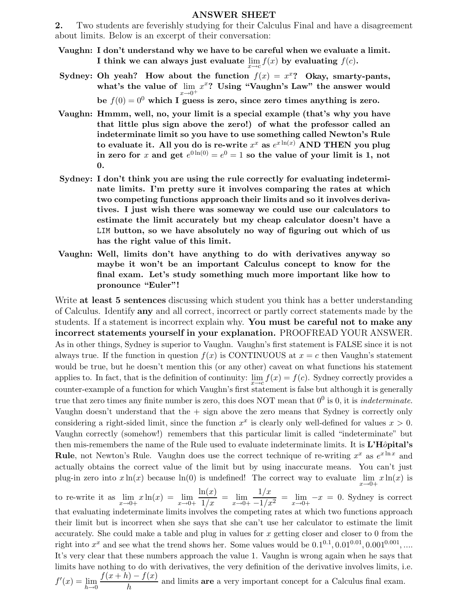#### **ANSWER SHEET**

**2.** Two students are feverishly studying for their Calculus Final and have a disagreement about limits. Below is an excerpt of their conversation:

- **Vaughn: I don't understand why we have to be careful when we evaluate a limit. I** think we can always just evaluate  $\lim_{x \to c} f(x)$  by evaluating  $f(c)$ **.**
- **Sydney: Oh yeah?** How about the function  $f(x) = x^x$ ? Okay, smarty-pants, what's the value of  $\lim_{x\to 0^+} x^x$ ? Using "Vaughn's Law" the answer would be  $f(0) = 0^0$  which I guess is zero, since zero times anything is zero.
- **Vaughn: Hmmm, well, no, your limit is a special example (that's why you have that little plus sign above the zero!) of what the professor called an indeterminate limit so you have to use something called Newton's Rule** to evaluate it. All you do is re-write  $x^x$  as  $e^{x \ln(x)}$  AND THEN you plug in zero for x and get  $e^{0 \ln(0)} = e^{0} = 1$  so the value of your limit is 1, not **0.**
- **Sydney: I don't think you are using the rule correctly for evaluating indeterminate limits. I'm pretty sure it involves comparing the rates at which two competing functions approach their limits and so it involves derivatives. I just wish there was someway we could use our calculators to estimate the limit accurately but my cheap calculator doesn't have a** LIM **button, so we have absolutely no way of figuring out which of us has the right value of this limit.**
- **Vaughn: Well, limits don't have anything to do with derivatives anyway so maybe it won't be an important Calculus concept to know for the final exam. Let's study something much more important like how to pronounce "Euler"!**

Write **at least 5 sentences** discussing which student you think has a better understanding of Calculus. Identify **any** and all correct, incorrect or partly correct statements made by the students. If a statement is incorrect explain why. **You must be careful not to make any incorrect statements yourself in your explanation.** PROOFREAD YOUR ANSWER. As in other things, Sydney is superior to Vaughn. Vaughn's first statement is FALSE since it is not always true. If the function in question  $f(x)$  is CONTINUOUS at  $x = c$  then Vaughn's statement would be true, but he doesn't mention this (or any other) caveat on what functions his statement applies to. In fact, that is the definition of continuity:  $\lim_{x\to c} f(x) = f(c)$ . Sydney correctly provides a counter-example of a function for which Vaughn's first statement is false but although it is generally true that zero times any finite number is zero, this does NOT mean that  $0^0$  is 0, it is *indeterminate*. Vaughn doesn't understand that the + sign above the zero means that Sydney is correctly only considering a right-sided limit, since the function  $x^x$  is clearly only well-defined for values  $x > 0$ . Vaughn correctly (somehow!) remembers that this particular limit is called "indeterminate" but then mis-remembers the name of the Rule used to evaluate indeterminate limits. It is **L'H**ôpital's **Rule**, not Newton's Rule. Vaughn does use the correct technique of re-writing  $x^x$  as  $e^{x \ln x}$  and actually obtains the correct value of the limit but by using inaccurate means. You can't just plug-in zero into  $x \ln(x)$  because  $\ln(0)$  is undefined! The correct way to evaluate  $\lim_{x\to 0+} x \ln(x)$  is

to re-write it as  $\lim_{x \to 0+} x \ln(x) = \lim_{x \to 0+} \frac{\ln(x)}{1/x} = \lim_{x \to 0+} \frac{1/x}{-1/x^2} = \lim_{x \to 0+} -x = 0$ . Sydney is correct that evaluating indeterminate limits involves the competing rates at which two functions approach their limit but is incorrect when she says that she can't use her calculator to estimate the limit accurately. She could make a table and plug in values for  $x$  getting closer and closer to  $0$  from the right into  $x^x$  and see what the trend shows her. Some values would be  $0.1^{0.1}$ ,  $0.01^{0.01}$ ,  $0.001^{0.001}$ , .... It's very clear that these numbers approach the value 1. Vaughn is wrong again when he says that limits have nothing to do with derivatives, the very definition of the derivative involves limits, i.e.  $f'(x) = \lim_{h \to 0} \frac{f(x+h) - f(x)}{h}$  $\frac{h}{h}$  and limits **are** a very important concept for a Calculus final exam.